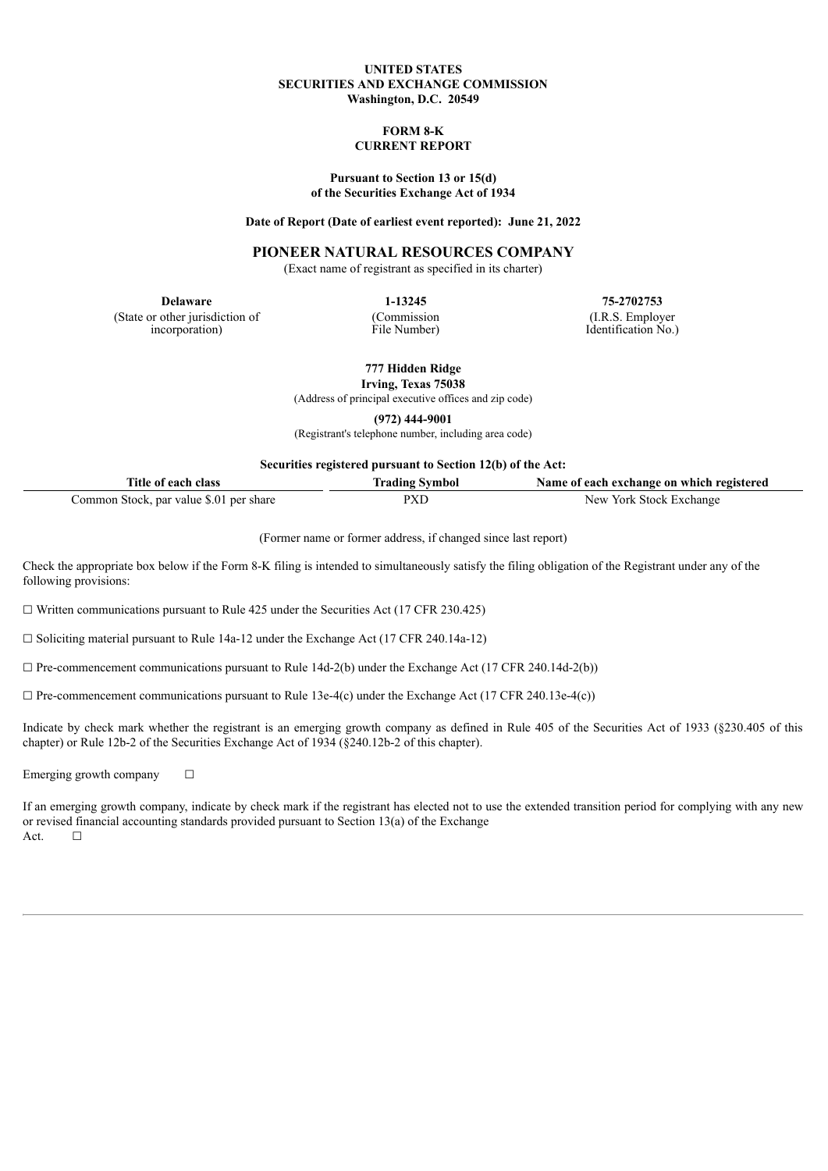## **UNITED STATES SECURITIES AND EXCHANGE COMMISSION Washington, D.C. 20549**

#### **FORM 8-K CURRENT REPORT**

#### **Pursuant to Section 13 or 15(d) of the Securities Exchange Act of 1934**

#### **Date of Report (Date of earliest event reported): June 21, 2022**

## **PIONEER NATURAL RESOURCES COMPANY**

(Exact name of registrant as specified in its charter)

(State or other jurisdiction of incorporation)

(Commission File Number)

**Delaware 1-13245 75-2702753** (I.R.S. Employer Identification No.)

> **777 Hidden Ridge Irving, Texas 75038**

(Address of principal executive offices and zip code)

**(972) 444-9001**

(Registrant's telephone number, including area code)

**Securities registered pursuant to Section 12(b) of the Act:**

| Title of each class                     | <b>Trading Symbol</b> | Name of each exchange on which registered |
|-----------------------------------------|-----------------------|-------------------------------------------|
| Common Stock, par value \$.01 per share | pxl                   | New York Stock Exchange                   |

(Former name or former address, if changed since last report)

Check the appropriate box below if the Form 8-K filing is intended to simultaneously satisfy the filing obligation of the Registrant under any of the following provisions:

 $\Box$  Written communications pursuant to Rule 425 under the Securities Act (17 CFR 230.425)

☐ Soliciting material pursuant to Rule 14a-12 under the Exchange Act (17 CFR 240.14a-12)

 $\Box$  Pre-commencement communications pursuant to Rule 14d-2(b) under the Exchange Act (17 CFR 240.14d-2(b))

 $\Box$  Pre-commencement communications pursuant to Rule 13e-4(c) under the Exchange Act (17 CFR 240.13e-4(c))

Indicate by check mark whether the registrant is an emerging growth company as defined in Rule 405 of the Securities Act of 1933 (§230.405 of this chapter) or Rule 12b-2 of the Securities Exchange Act of 1934 (§240.12b-2 of this chapter).

Emerging growth company  $\Box$ 

If an emerging growth company, indicate by check mark if the registrant has elected not to use the extended transition period for complying with any new or revised financial accounting standards provided pursuant to Section 13(a) of the Exchange  $Act. \Box$